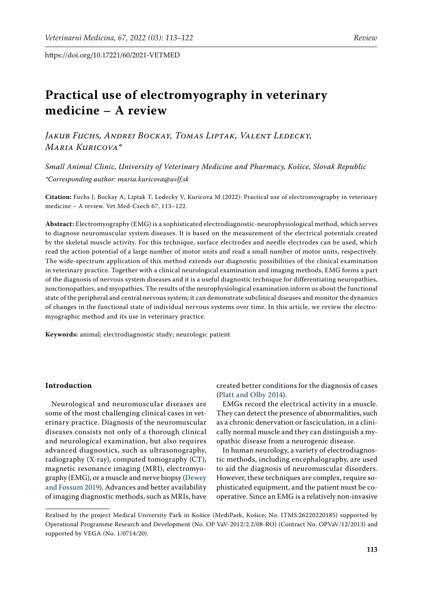# **Practical use of electromyography in veterinary medicine – A review**

*Jakub Fuchs, Andrej Bockay, Tomas Liptak, Valent Ledecky, Maria Kuricova\**

*Small Animal Clinic, University of Veterinary Medicine and Pharmacy, Košice, Slovak Republic \*Corresponding author: maria.kuricova@uvlf.sk*

**Citation:** Fuchs J, Bockay A, Liptak T, Ledecky V, Kuricova M (2022): Practical use of electromyography in veterinary medicine – A review. Vet Med-Czech 67, 113–122.

**Abstract:** Electromyography (EMG) is a sophisticated electrodiagnostic-neurophysiological method, which serves to diagnose neuromuscular system diseases. It is based on the measurement of the electrical potentials created by the skeletal muscle activity. For this technique, surface electrodes and needle electrodes can be used, which read the action potential of a large number of motor units and read a small number of motor units, respectively. The wide-spectrum application of this method extends our diagnostic possibilities of the clinical examination in veterinary practice. Together with a clinical neurological examination and imaging methods, EMG forms a part of the diagnosis of nervous system diseases and it is a useful diagnostic technique for differentiating neuropathies, junctionopathies, and myopathies. The results of the neurophysiological examination inform us about the functional state of the peripheral and central nervous system; it can demonstrate subclinical diseases and monitor the dynamics of changes in the functional state of individual nervous systems over time. In this article, we review the electromyographic method and its use in veterinary practice.

**Keywords:** animal; electrodiagnostic study; neurologic patient

# **Introduction**

Neurological and neuromuscular diseases are some of the most challenging clinical cases in veterinary practice. Diagnosis of the neuromuscular diseases consists not only of a thorough clinical and neurological examination, but also requires advanced diagnostics, such as ultrasonography, radiography (X-ray), computed tomography (CT), magnetic resonance imaging (MRI), electromyography (EMG), or a muscle and nerve biopsy ([Dewey](#page-8-0)  [and Fossum 2019\)](#page-8-0). Advances and better availability of imaging diagnostic methods, such as MRIs, have

created better conditions for the diagnosis of cases [\(Platt and Olby 2014](#page-9-0)).

EMGs record the electrical activity in a muscle. They can detect the presence of abnormalities, such as a chronic denervation or fasciculation, in a clinically normal muscle and they can distinguish a myopathic disease from a neurogenic disease.

In human neurology, a variety of electrodiagnostic methods, including encephalography, are used to aid the diagnosis of neuromuscular disorders. However, these techniques are complex, require sophisticated equipment, and the patient must be cooperative. Since an EMG is a relatively non-invasive

Realised by the project Medical University Park in Košice (MediPark, Košice; No. ITMS:26220220185) supported by Operational Programme Research and Development (No. OP VaV-2012/2.2/08-RO) (Contract No. OPVaV/12/2013) and supported by VEGA (No. 1/0714/20).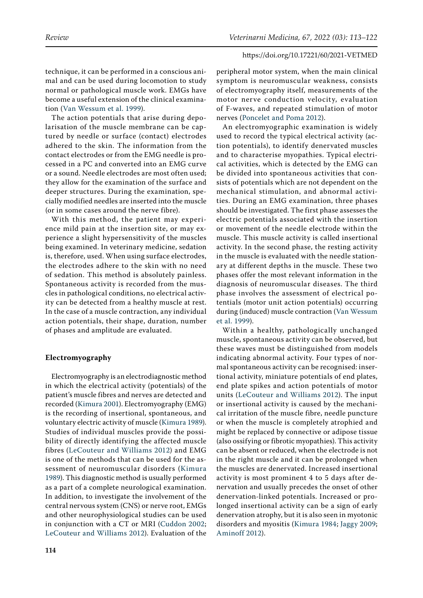technique, it can be performed in a conscious animal and can be used during locomotion to study normal or pathological muscle work. EMGs have become a useful extension of the clinical examination ([Van Wessum et al. 1999](#page-9-1)).

The action potentials that arise during depolarisation of the muscle membrane can be captured by needle or surface (contact) electrodes adhered to the skin. The information from the contact electrodes or from the EMG needle is processed in a PC and converted into an EMG curve or a sound. Needle electrodes are most often used; they allow for the examination of the surface and deeper structures. During the examination, specially modified needles are inserted into the muscle (or in some cases around the nerve fibre).

With this method, the patient may experience mild pain at the insertion site, or may experience a slight hypersensitivity of the muscles being examined. In veterinary medicine, sedation is, therefore, used. When using surface electrodes, the electrodes adhere to the skin with no need of sedation. This method is absolutely painless. Spontaneous activity is recorded from the muscles in pathological conditions, no electrical activity can be detected from a healthy muscle at rest. In the case of a muscle contraction, any individual action potentials, their shape, duration, number of phases and amplitude are evaluated.

#### **Electromyography**

Electromyography is an electrodiagnostic method in which the electrical activity (potentials) of the patient's muscle fibres and nerves are detected and recorded [\(Kimura 2001](#page-8-1)). Electromyography (EMG) is the recording of insertional, spontaneous, and voluntary electric activity of muscle ([Kimura 1989\)](#page-8-2). Studies of individual muscles provide the possibility of directly identifying the affected muscle fibres ([LeCouteur and Williams 2012](#page-8-3)) and EMG is one of the methods that can be used for the assessment of neuromuscular disorders ([Kimura](#page-8-2)  [1989\)](#page-8-2). This diagnostic method is usually performed as a part of a complete neurological examination. In addition, to investigate the involvement of the central nervous system (CNS) or nerve root, EMGs and other neurophysiological studies can be used in conjunction with a CT or MRI ([Cuddon 2002](#page-8-4); [LeCouteur and Williams 2012](#page-8-3)). Evaluation of the peripheral motor system, when the main clinical symptom is neuromuscular weakness, consists of electromyography itself, measurements of the motor nerve conduction velocity, evaluation of F-waves, and repeated stimulation of motor nerves ([Poncelet and Poma 2012](#page-9-2)).

An electromyographic examination is widely used to record the typical electrical activity (action potentials), to identify denervated muscles and to characterise myopathies. Typical electrical activities, which is detected by the EMG can be divided into spontaneous activities that consists of potentials which are not dependent on the mechanical stimulation, and abnormal activities. During an EMG examination, three phases should be investigated. The first phase assesses the electric potentials associated with the insertion or movement of the needle electrode within the muscle. This muscle activity is called insertional activity. In the second phase, the resting activity in the muscle is evaluated with the needle stationary at different depths in the muscle. These two phases offer the most relevant information in the diagnosis of neuromuscular diseases. The third phase involves the assessment of electrical potentials (motor unit action potentials) occurring during (induced) muscle contraction ([Van Wessum](#page-9-1) [et al. 1999](#page-9-1)).

Within a healthy, pathologically unchanged muscle, spontaneous activity can be observed, but these waves must be distinguished from models indicating abnormal activity. Four types of normal spontaneous activity can be recognised: insertional activity, miniature potentials of end plates, end plate spikes and action potentials of motor units [\(LeCouteur and Williams 2012](#page-8-3)). The input or insertional activity is caused by the mechanical irritation of the muscle fibre, needle puncture or when the muscle is completely atrophied and might be replaced by connective or adipose tissue (also ossifying or fibrotic myopathies). This activity can be absent or reduced, when the electrode is not in the right muscle and it can be prolonged when the muscles are denervated. Increased insertional activity is most prominent 4 to 5 days after denervation and usually precedes the onset of other denervation-linked potentials. Increased or prolonged insertional activity can be a sign of early denervation atrophy, but it is also seen in myotonic disorders and myositis [\(Kimura 1984](#page-8-5); [Jaggy 2009](#page-8-6); [Aminoff 2012](#page-7-0)).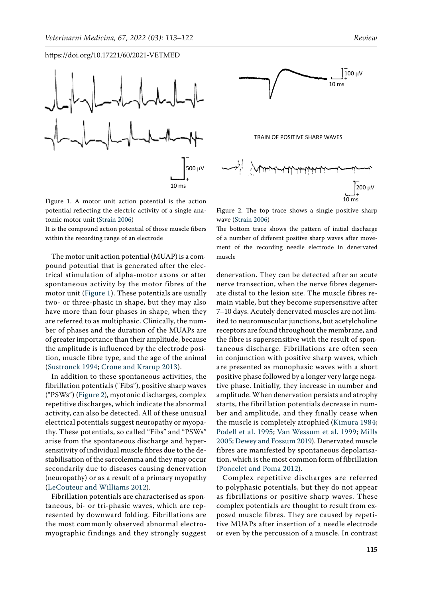<span id="page-2-0"></span>



It is the compound action potential of those muscle fibers within the recording range of an electrode

The motor unit action potential (MUAP) is a compound potential that is generated after the electrical stimulation of alpha-motor axons or after spontaneous activity by the motor fibres of the motor unit [\(Figure 1](#page-2-0)). These potentials are usually two- or three-phasic in shape, but they may also have more than four phases in shape, when they are referred to as multiphasic. Clinically, the number of phases and the duration of the MUAPs are of greater importance than their amplitude, because the amplitude is influenced by the electrode position, muscle fibre type, and the age of the animal [\(Sustronck 1994](#page-9-3); Crone and Krarup 2013).

In addition to these spontaneous activities, the fibrillation potentials ("Fibs"), positive sharp waves ("PSWs") ([Figure 2\)](#page-2-1), myotonic discharges, complex repetitive discharges, which indicate the abnormal activity, can also be detected. All of these unusual electrical potentials suggest neuropathy or myopathy. These potentials, so called "Fibs" and "PSWs" arise from the spontaneous discharge and hypersensitivity of individual muscle fibres due to the destabilisation of the sarcolemma and they may occur secondarily due to diseases causing denervation (neuropathy) or as a result of a primary myopathy [\(LeCouteur and Williams 2012](#page-8-3)).

Fibrillation potentials are characterised as spontaneous, bi- or tri-phasic waves, which are represented by downward folding. Fibrillations are the most commonly observed abnormal electromyographic findings and they strongly suggest

<span id="page-2-1"></span>

Figure 2. The top trace shows a single positive sharp wave [\(Strain 2006](#page-9-5))

The bottom trace shows the pattern of initial discharge of a number of different positive sharp waves after movement of the recording needle electrode in denervated muscle

denervation. They can be detected after an acute nerve transection, when the nerve fibres degenerate distal to the lesion site. The muscle fibres remain viable, but they become supersensitive after 7–10 days. Acutely denervated muscles are not limited to neuromuscular junctions, but acetylcholine receptors are found throughout the membrane, and the fibre is supersensitive with the result of spontaneous discharge. Fibrillations are often seen in conjunction with positive sharp waves, which are presented as monophasic waves with a short positive phase followed by a longer very large negative phase. Initially, they increase in number and amplitude. When denervation persists and atrophy starts, the fibrillation potentials decrease in number and amplitude, and they finally cease when the muscle is completely atrophied [\(Kimura 1984](#page-8-5); [Podell et al. 1995](#page-9-4); [Van Wessum et al. 1999;](#page-9-1) [Mills](#page-8-7) [2005;](#page-8-7) [Dewey and Fossum 2019\)](#page-8-0). Denervated muscle fibres are manifested by spontaneous depolarisation, which is the most common form of fibrillation [\(Poncelet and Poma 2012\)](#page-9-2).

Complex repetitive discharges are referred to polyphasic potentials, but they do not appear as fibrillations or positive sharp waves. These complex potentials are thought to result from exposed muscle fibres. They are caused by repetitive MUAPs after insertion of a needle electrode or even by the percussion of a muscle. In contrast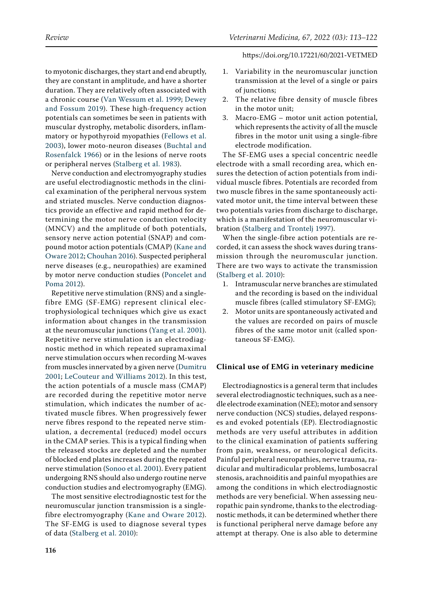to myotonic discharges, they start and end abruptly, they are constant in amplitude, and have a shorter duration. They are relatively often associated with a chronic course ([Van Wessum et al. 1999;](#page-9-1) [Dewey](#page-8-0)  [and Fossum 2019](#page-8-0)). These high-frequency action potentials can sometimes be seen in patients with muscular dystrophy, metabolic disorders, inflammatory or hypothyroid myopathies ([Fellows et al.](#page-8-8)  [2003](#page-8-8)), lower moto-neuron diseases [\(Buchtal and](#page-8-9)  [Rosenfalck 1966\)](#page-8-9) or in the lesions of nerve roots or peripheral nerves [\(Stalberg et al. 1983\)](#page-9-6).

Nerve conduction and electromyography studies are useful electrodiagnostic methods in the clinical examination of the peripheral nervous system and striated muscles. Nerve conduction diagnostics provide an effective and rapid method for determining the motor nerve conduction velocity (MNCV) and the amplitude of both potentials, sensory nerve action potential (SNAP) and compound motor action potentials (CMAP) [\(Kane and](#page-8-10)  [Oware 2012;](#page-8-10) [Chouhan 2016\)](#page-8-11). Suspected peripheral nerve diseases (e.g., neuropathies) are examined by motor nerve conduction studies ([Poncelet and](#page-9-2)  [Poma 2012\)](#page-9-2).

Repetitive nerve stimulation (RNS) and a singlefibre EMG (SF-EMG) represent clinical electrophysiological techniques which give us exact information about changes in the transmission at the neuromuscular junctions ([Yang et al. 2001\)](#page-9-7). Repetitive nerve stimulation is an electrodiagnostic method in which repeated supramaximal nerve stimulation occurs when recording M-waves from muscles innervated by a given nerve ([Dumitru](#page-8-12)  [2001;](#page-8-12) [LeCouteur and Williams 2012](#page-8-3)). In this test, the action potentials of a muscle mass (CMAP) are recorded during the repetitive motor nerve stimulation, which indicates the number of activated muscle fibres. When progressively fewer nerve fibres respond to the repeated nerve stimulation, a decremental (reduced) model occurs in the CMAP series. This is a typical finding when the released stocks are depleted and the number of blocked end plates increases during the repeated nerve stimulation ([Sonoo et al. 2001\)](#page-9-8). Every patient undergoing RNS should also undergo routine nerve conduction studies and electromyography (EMG).

The most sensitive electrodiagnostic test for the neuromuscular junction transmission is a singlefibre electromyography [\(Kane and Oware 2012\)](#page-8-10). The SF-EMG is used to diagnose several types of data [\(Stalberg et al. 2010](#page-9-9)):

- 1. Variability in the neuromuscular junction transmission at the level of a single or pairs of junctions;
- 2. The relative fibre density of muscle fibres in the motor unit;
- 3. Macro-EMG motor unit action potential, which represents the activity of all the muscle fibres in the motor unit using a single-fibre electrode modification.

The SF-EMG uses a special concentric needle electrode with a small recording area, which ensures the detection of action potentials from individual muscle fibres. Potentials are recorded from two muscle fibres in the same spontaneously activated motor unit, the time interval between these two potentials varies from discharge to discharge, which is a manifestation of the neuromuscular vibration [\(Stalberg and Trontelj 1997\)](#page-9-10).

When the single-fibre action potentials are recorded, it can assess the shock waves during transmission through the neuromuscular junction. There are two ways to activate the transmission [\(Stalberg et al. 2010\)](#page-9-9):

- 1. Intramuscular nerve branches are stimulated and the recording is based on the individual muscle fibres (called stimulatory SF-EMG);
- 2. Motor units are spontaneously activated and the values are recorded on pairs of muscle fibres of the same motor unit (called spontaneous SF-EMG).

### **Clinical use of EMG in veterinary medicine**

Electrodiagnostics is a general term that includes several electrodiagnostic techniques, such as a needle electrode examination (NEE); motor and sensory nerve conduction (NCS) studies, delayed responses and evoked potentials (EP). Electrodiagnostic methods are very useful attributes in addition to the clinical examination of patients suffering from pain, weakness, or neurological deficits. Painful peripheral neuropathies, nerve trauma, radicular and multiradicular problems, lumbosacral stenosis, arachnoiditis and painful myopathies are among the conditions in which electrodiagnostic methods are very beneficial. When assessing neuropathic pain syndrome, thanks to the electrodiagnostic methods, it can be determined whether there is functional peripheral nerve damage before any attempt at therapy. One is also able to determine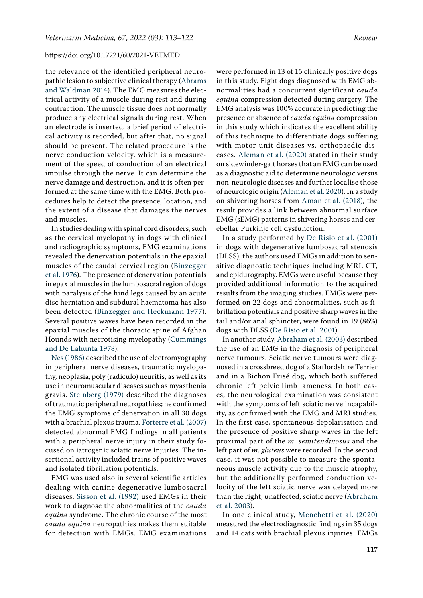the relevance of the identified peripheral neuropathic lesion to subjective clinical therapy ([Abrams](#page-7-1)  [and Waldman 2014](#page-7-1)). The EMG measures the electrical activity of a muscle during rest and during contraction. The muscle tissue does not normally produce any electrical signals during rest. When an electrode is inserted, a brief period of electrical activity is recorded, but after that, no signal should be present. The related procedure is the nerve conduction velocity, which is a measurement of the speed of conduction of an electrical impulse through the nerve. It can determine the nerve damage and destruction, and it is often performed at the same time with the EMG. Both procedures help to detect the presence, location, and the extent of a disease that damages the nerves and muscles.

In studies dealing with spinal cord disorders, such as the cervical myelopathy in dogs with clinical and radiographic symptoms, EMG examinations revealed the denervation potentials in the epaxial muscles of the caudal cervical region [\(Binzegger](#page-7-2)  [et al. 1976](#page-7-2)). The presence of denervation potentials in epaxial muscles in the lumbosacral region of dogs with paralysis of the hind legs caused by an acute disc herniation and subdural haematoma has also been detected ([Binzegger and Heckmann 1977\)](#page-7-3). Several positive waves have been recorded in the epaxial muscles of the thoracic spine of Afghan Hounds with necrotising myelopathy ([Cummings](#page-8-13)  [and De Lahunta 1978\)](#page-8-13).

[Nes \(1986\) d](#page-9-11)escribed the use of electromyography in peripheral nerve diseases, traumatic myelopathy, neoplasia, poly (radiculo) neuritis, as well as its use in neuromuscular diseases such as myasthenia gravis. [Steinberg \(1979\)](#page-9-12) described the diagnoses of traumatic peripheral neuropathies; he confirmed the EMG symptoms of denervation in all 30 dogs with a brachial plexus trauma. [Forterre et al. \(2007\)](#page-8-14)  detected abnormal EMG findings in all patients with a peripheral nerve injury in their study focused on iatrogenic sciatic nerve injuries. The insertional activity included trains of positive waves and isolated fibrillation potentials.

EMG was used also in several scientific articles dealing with canine degenerative lumbosacral diseases. [Sisson et al. \(1992\)](#page-9-13) used EMGs in their work to diagnose the abnormalities of the *cauda equina* syndrome. The chronic course of the most *cauda equina* neuropathies makes them suitable for detection with EMGs. EMG examinations

were performed in 13 of 15 clinically positive dogs in this study. Eight dogs diagnosed with EMG abnormalities had a concurrent significant *cauda equina* compression detected during surgery. The EMG analysis was 100% accurate in predicting the presence or absence of *cauda equina* compression in this study which indicates the excellent ability of this technique to differentiate dogs suffering with motor unit diseases vs. orthopaedic diseases. [Aleman et al. \(2020\)](#page-7-4) stated in their study on sidewinder-gait horses that an EMG can be used as a diagnostic aid to determine neurologic versus non-neurologic diseases and further localise those of neurologic origin [\(Aleman et al. 2020\)](#page-7-4). In a study on shivering horses from [Aman et al. \(2018\),](#page-7-5) the result provides a link between abnormal surface EMG (sEMG) patterns in shivering horses and cerebellar Purkinje cell dysfunction.

In a study performed by [De Risio et al. \(2001\)](#page-8-15) in dogs with degenerative lumbosacral stenosis (DLSS), the authors used EMGs in addition to sensitive diagnostic techniques including MRI, CT, and epidurography. EMGs were useful because they provided additional information to the acquired results from the imaging studies. EMGs were performed on 22 dogs and abnormalities, such as fibrillation potentials and positive sharp waves in the tail and/or anal sphincter, were found in 19 (86%) dogs with DLSS ([De Risio et al. 2001\)](#page-8-15).

In another study, [Abraham et al. \(2003\)](#page-7-6) described the use of an EMG in the diagnosis of peripheral nerve tumours. Sciatic nerve tumours were diagnosed in a crossbreed dog of a Staffordshire Terrier and in a Bichon Frisé dog, which both suffered chronic left pelvic limb lameness. In both cases, the neurological examination was consistent with the symptoms of left sciatic nerve incapability, as confirmed with the EMG and MRI studies. In the first case, spontaneous depolarisation and the presence of positive sharp waves in the left proximal part of the *m. semitendinosus* and the left part of *m. gluteus* were recorded. In the second case, it was not possible to measure the spontaneous muscle activity due to the muscle atrophy, but the additionally performed conduction velocity of the left sciatic nerve was delayed more than the right, unaffected, sciatic nerve [\(Abraham](#page-7-6) [et al. 2003](#page-7-6)).

In one clinical study, [Menchetti et al. \(2020\)](#page-8-16) measured the electrodiagnostic findings in 35 dogs and 14 cats with brachial plexus injuries. EMGs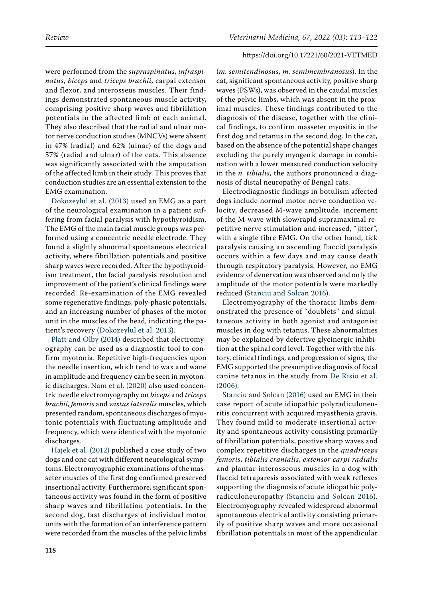were performed from the *supraspinatus*, *infraspinatus*, *biceps* and *triceps brachii*, carpal extensor and flexor, and interosseus muscles. Their findings demonstrated spontaneous muscle activity, comprising positive sharp waves and fibrillation potentials in the affected limb of each animal. They also described that the radial and ulnar motor nerve conduction studies (MNCVs) were absent in 47% (radial) and 62% (ulnar) of the dogs and 57% (radial and ulnar) of the cats. This absence was significantly associated with the amputation of the affected limb in their study. This proves that conduction studies are an essential extension to the EMG examination.

[Dokozeylul et al. \(2013\) u](#page-8-17)sed an EMG as a part of the neurological examination in a patient suffering from facial paralysis with hypothyroidism. The EMG of the main facial muscle groups was performed using a concentric needle electrode. They found a slightly abnormal spontaneous electrical activity, where fibrillation potentials and positive sharp waves were recorded. After the hypothyroidism treatment, the facial paralysis resolution and improvement of the patient's clinical findings were recorded. Re-examination of the EMG revealed some regenerative findings, poly-phasic potentials, and an increasing number of phases of the motor unit in the muscles of the head, indicating the patient's recovery ([Dokozeylul et al. 2013\)](#page-8-17).

[Platt and Olby \(2014\)](#page-9-0) described that electromyography can be used as a diagnostic tool to confirm myotonia. Repetitive high-frequencies upon the needle insertion, which tend to wax and wane in amplitude and frequency can be seen in myotonic discharges. [Nam et al. \(2020\)](#page-8-18) also used concentric needle electromyography on *biceps* and *triceps brachii*, *femoris* and *vastus lateralis* muscles, which presented random, spontaneous discharges of myotonic potentials with fluctuating amplitude and frequency, which were identical with the myotonic discharges.

[Hajek et al. \(2012\)](#page-8-19) published a case study of two dogs and one cat with different neurological symptoms. Electromyographic examinations of the masseter muscles of the first dog confirmed preserved insertional activity. Furthermore, significant spontaneous activity was found in the form of positive sharp waves and fibrillation potentials. In the second dog, fast discharges of individual motor units with the formation of an interference pattern were recorded from the muscles of the pelvic limbs

(*m. semitendinosus*, *m. semimembranosus*). In the cat, significant spontaneous activity, positive sharp waves (PSWs), was observed in the caudal muscles of the pelvic limbs, which was absent in the proximal muscles. These findings contributed to the diagnosis of the disease, together with the clinical findings, to confirm masseter myositis in the first dog and tetanus in the second dog. In the cat, based on the absence of the potential shape changes excluding the purely myogenic damage in combination with a lower measured conduction velocity in the *n. tibialis*, the authors pronounced a diagnosis of distal neuropathy of Bengal cats.

Electrodiagnostic findings in botulism affected dogs include normal motor nerve conduction velocity, decreased M-wave amplitude, increment of the M-wave with slow/rapid supramaximal repetitive nerve stimulation and increased, "jitter", with a single fibre EMG. On the other hand, tick paralysis causing an ascending flaccid paralysis occurs within a few days and may cause death through respiratory paralysis. However, no EMG evidence of denervation was observed and only the amplitude of the motor potentials were markedly reduced [\(Stanciu and Solcan 2016\)](#page-9-14).

Electromyography of the thoracic limbs demonstrated the presence of "doublets" and simultaneous activity in both agonist and antagonist muscles in dog with tetanus. These abnormalities may be explained by defective glycinergic inhibition at the spinal cord level. Together with the history, clinical findings, and progression of signs, the EMG supported the presumptive diagnosis of focal canine tetanus in the study from [De Risio et al.](#page-8-20) [\(2006\)](#page-8-20).

[Stanciu and Solcan \(2016\)](#page-9-14) used an EMG in their case report of acute idiopathic polyradiculoneuritis concurrent with acquired myasthenia gravis. They found mild to moderate insertional activity and spontaneous activity consisting primarily of fibrillation potentials, positive sharp waves and complex repetitive discharges in the *quadriceps femoris*, *tibialis cranialis*, *extensor carpi radialis* and plantar interosseous muscles in a dog with flaccid tetraparesis associated with weak reflexes supporting the diagnosis of acute idiopathic polyradiculoneuropathy ([Stanciu and Solcan 2016](#page-9-14)). Electromyography revealed widespread abnormal spontaneous electrical activity consisting primarily of positive sharp waves and more occasional fibrillation potentials in most of the appendicular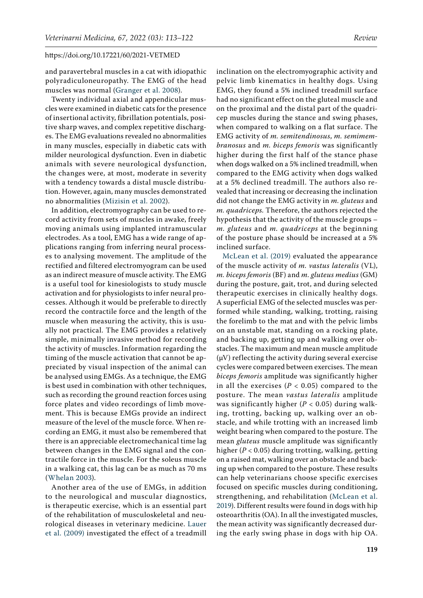and paravertebral muscles in a cat with idiopathic polyradiculoneuropathy. The EMG of the head muscles was normal [\(Granger et al. 2008\)](#page-8-21).

Twenty individual axial and appendicular muscles were examined in diabetic cats for the presence of insertional activity, fibrillation potentials, positive sharp waves, and complex repetitive discharges. The EMG evaluations revealed no abnormalities in many muscles, especially in diabetic cats with milder neurological dysfunction. Even in diabetic animals with severe neurological dysfunction, the changes were, at most, moderate in severity with a tendency towards a distal muscle distribution. However, again, many muscles demonstrated no abnormalities ([Mizisin et al. 2002](#page-8-22)).

In addition, electromyography can be used to record activity from sets of muscles in awake, freely moving animals using implanted intramuscular electrodes. As a tool, EMG has a wide range of applications ranging from inferring neural processes to analysing movement. The amplitude of the rectified and filtered electromyogram can be used as an indirect measure of muscle activity. The EMG is a useful tool for kinesiologists to study muscle activation and for physiologists to infer neural processes. Although it would be preferable to directly record the contractile force and the length of the muscle when measuring the activity, this is usually not practical. The EMG provides a relatively simple, minimally invasive method for recording the activity of muscles. Information regarding the timing of the muscle activation that cannot be appreciated by visual inspection of the animal can be analysed using EMGs. As a technique, the EMG is best used in combination with other techniques, such as recording the ground reaction forces using force plates and video recordings of limb movement. This is because EMGs provide an indirect measure of the level of the muscle force. When recording an EMG, it must also be remembered that there is an appreciable electromechanical time lag between changes in the EMG signal and the contractile force in the muscle. For the soleus muscle in a walking cat, this lag can be as much as 70 ms [\(Whelan 2003](#page-9-15)).

Another area of the use of EMGs, in addition to the neurological and muscular diagnostics, is therapeutic exercise, which is an essential part of the rehabilitation of musculoskeletal and neurological diseases in veterinary medicine. [Lauer](#page-8-23)  [et al. \(2009\)](#page-8-23) investigated the effect of a treadmill

inclination on the electromyographic activity and pelvic limb kinematics in healthy dogs. Using EMG, they found a 5% inclined treadmill surface had no significant effect on the gluteal muscle and on the proximal and the distal part of the quadricep muscles during the stance and swing phases, when compared to walking on a flat surface. The EMG activity of *m. semitendinosus*, *m. semimembranosus* and *m. biceps femoris* was significantly higher during the first half of the stance phase when dogs walked on a 5% inclined treadmill, when compared to the EMG activity when dogs walked at a 5% declined treadmill. The authors also revealed that increasing or decreasing the inclination did not change the EMG activity in *m. gluteus* and *m. quadriceps.* Therefore, the authors rejected the hypothesis that the activity of the muscle groups – *m. gluteus* and *m. quadriceps* at the beginning of the posture phase should be increased at a 5% inclined surface.

[McLean et al. \(2019\)](#page-8-24) evaluated the appearance of the muscle activity of *m. vastus lateralis* (VL), *m. biceps femoris* (BF) and *m. gluteus medius* (GM) during the posture, gait, trot, and during selected therapeutic exercises in clinically healthy dogs. A superficial EMG of the selected muscles was performed while standing, walking, trotting, raising the forelimb to the mat and with the pelvic limbs on an unstable mat, standing on a rocking plate, and backing up, getting up and walking over obstacles. The maximum and mean muscle amplitude  $(\mu V)$  reflecting the activity during several exercise cycles were compared between exercises. The mean *biceps femoris* amplitude was significantly higher in all the exercises  $(P < 0.05)$  compared to the posture. The mean *vastus lateralis* amplitude was significantly higher (*P* < 0.05) during walking, trotting, backing up, walking over an obstacle, and while trotting with an increased limb weight bearing when compared to the posture. The mean *gluteus* muscle amplitude was significantly higher (*P* < 0.05) during trotting, walking, getting on a raised mat, walking over an obstacle and backing up when compared to the posture. These results can help veterinarians choose specific exercises focused on specific muscles during conditioning, strengthening, and rehabilitation [\(McLean et al.](#page-8-24) [2019\)](#page-8-24). Different results were found in dogs with hip osteoarthritis (OA). In all the investigated muscles, the mean activity was significantly decreased during the early swing phase in dogs with hip OA.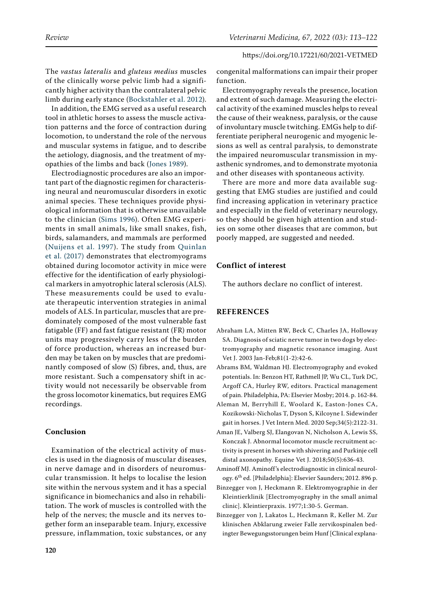The *vastus lateralis* and *gluteus medius* muscles of the clinically worse pelvic limb had a significantly higher activity than the contralateral pelvic limb during early stance [\(Bockstahler et al. 2012\)](#page-8-25).

In addition, the EMG served as a useful research tool in athletic horses to assess the muscle activation patterns and the force of contraction during locomotion, to understand the role of the nervous and muscular systems in fatigue, and to describe the aetiology, diagnosis, and the treatment of myopathies of the limbs and back ([Jones 1989\)](#page-8-26).

Electrodiagnostic procedures are also an important part of the diagnostic regimen for characterising neural and neuromuscular disorders in exotic animal species. These techniques provide physiological information that is otherwise unavailable to the clinician [\(Sims 1996](#page-9-16)). Often EMG experiments in small animals, like small snakes, fish, birds, salamanders, and mammals are performed ([Nuijens et al. 1997](#page-9-17)). The study from [Quinlan](#page-9-18)  [et al. \(2017\)](#page-9-18) demonstrates that electromyograms obtained during locomotor activity in mice were effective for the identification of early physiological markers in amyotrophic lateral sclerosis (ALS). These measurements could be used to evaluate therapeutic intervention strategies in animal models of ALS. In particular, muscles that are predominately composed of the most vulnerable fast fatigable (FF) and fast fatigue resistant (FR) motor units may progressively carry less of the burden of force production, whereas an increased burden may be taken on by muscles that are predominantly composed of slow (S) fibres, and, thus, are more resistant. Such a compensatory shift in activity would not necessarily be observable from the gross locomotor kinematics, but requires EMG recordings.

# **Conclusion**

Examination of the electrical activity of muscles is used in the diagnosis of muscular diseases, in nerve damage and in disorders of neuromuscular transmission. It helps to localise the lesion site within the nervous system and it has a special significance in biomechanics and also in rehabilitation. The work of muscles is controlled with the help of the nerves; the muscle and its nerves together form an inseparable team. Injury, excessive pressure, inflammation, toxic substances, or any

congenital malformations can impair their proper function.

Electromyography reveals the presence, location and extent of such damage. Measuring the electrical activity of the examined muscles helps to reveal the cause of their weakness, paralysis, or the cause of involuntary muscle twitching. EMGs help to differentiate peripheral neurogenic and myogenic lesions as well as central paralysis, to demonstrate the impaired neuromuscular transmission in myasthenic syndromes, and to demonstrate myotonia and other diseases with spontaneous activity.

There are more and more data available suggesting that EMG studies are justified and could find increasing application in veterinary practice and especially in the field of veterinary neurology, so they should be given high attention and studies on some other diseases that are common, but poorly mapped, are suggested and needed.

# **Conflict of interest**

The authors declare no conflict of interest.

# **REFERENCES**

- <span id="page-7-6"></span>Abraham LA, Mitten RW, Beck C, Charles JA, Holloway SA. Diagnosis of sciatic nerve tumor in two dogs by electromyography and magnetic resonance imaging. Aust Vet J. 2003 Jan-Feb;81(1-2):42-6.
- <span id="page-7-1"></span>Abrams BM, Waldman HJ. Electromyography and evoked potentials. In: Benzon HT, Rathmell JP, Wu CL, Turk DC, Argoff CA, Hurley RW, editors. Practical management of pain. Philadelphia, PA: Elsevier Mosby; 2014. p. 162-84.
- <span id="page-7-4"></span>Aleman M, Berryhill E, Woolard K, Easton-Jones CA, Kozikowski-Nicholas T, Dyson S, Kilcoyne I. Sidewinder gait in horses. J Vet Intern Med. 2020 Sep;34(5):2122-31.
- <span id="page-7-5"></span>Aman JE, Valberg SJ, Elangovan N, Nicholson A, Lewis SS, Konczak J. Abnormal locomotor muscle recruitment activity is present in horses with shivering and Purkinje cell distal axonopathy. Equine Vet J. 2018;50(5):636-43.
- <span id="page-7-0"></span>Aminoff MJ. Aminoff 's electrodiagnostic in clinical neurology. 6th ed. [Philadelphia]: Elsevier Saunders; 2012. 896 p.
- <span id="page-7-3"></span>Binzegger von J, Heckmann R. Elektromyographie in der Kleintierklinik [Electromyography in the small animal clinic]. Kleintierpraxis. 1977;1:30-5. German.
- <span id="page-7-2"></span>Binzegger von J, Lakatos L, Heckmann R, Keller M. Zur klinischen Abklarung zweier Falle zervikospinalen bedingter Bewegungsstorungen beim Hunf [Clinical explana-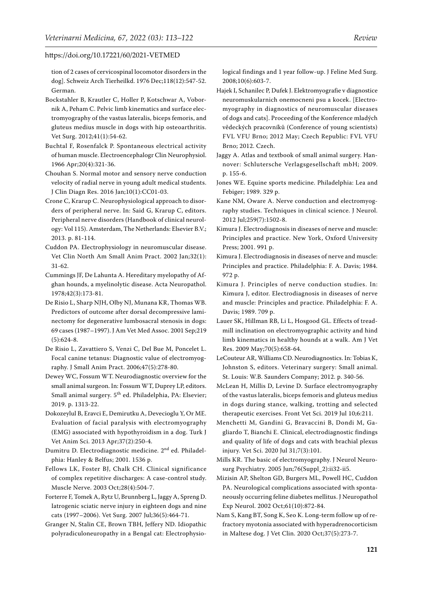tion of 2 cases of cervicospinal locomotor disorders in the dog]. Schweiz Arch Tierheilkd. 1976 Dec;118(12):547-52. German.

- <span id="page-8-25"></span>Bockstahler B, Krautler C, Holler P, Kotschwar A, Vobornik A, Peham C. Pelvic limb kinematics and surface electromyography of the vastus lateralis, biceps femoris, and gluteus medius muscle in dogs with hip osteoarthritis. Vet Surg. 2012;41(1):54-62.
- <span id="page-8-9"></span>Buchtal F, Rosenfalck P. Spontaneous electrical activity of human muscle. Electroencephalogr Clin Neurophysiol. 1966 Apr;20(4):321-36.
- <span id="page-8-11"></span>Chouhan S. Normal motor and sensory nerve conduction velocity of radial nerve in young adult medical students. J Clin Diagn Res. 2016 Jan;10(1):CC01-03.
- Crone C, Krarup C. Neurophysiological approach to disorders of peripheral nerve. In: Said G, Krarup C, editors. Peripheral nerve disorders (Handbook of clinical neurology: Vol 115). Amsterdam, The Netherlands: Elsevier B.V.; 2013. p. 81-114.
- <span id="page-8-4"></span>Cuddon PA. Electrophysiology in neuromuscular disease. Vet Clin North Am Small Anim Pract. 2002 Jan;32(1): 31-62.
- <span id="page-8-13"></span>Cummings JF, De Lahunta A. Hereditary myelopathy of Afghan hounds, a myelinolytic disease. Acta Neuropathol. 1978;42(3):173-81.
- <span id="page-8-15"></span>De Risio L, Sharp NJH, Olby NJ, Munana KR, Thomas WB. Predictors of outcome after dorsal decompressive laminectomy for degenerative lumbosacral stenosis in dogs: 69 cases (1987–1997). J Am Vet Med Assoc. 2001 Sep;219 (5):624-8.
- <span id="page-8-20"></span>De Risio L, Zavattiero S, Venzi C, Del Bue M, Poncelet L. Focal canine tetanus: Diagnostic value of electromyography. J Small Anim Pract. 2006;47(5):278-80.
- <span id="page-8-0"></span>Dewey WC, Fossum WT. Neurodiagnostic overview for the small animal surgeon. In: Fossum WT, Duprey LP, editors. Small animal surgery. 5<sup>th</sup> ed. Philadelphia, PA: Elsevier; 2019. p. 1313-22.
- <span id="page-8-17"></span>Dokozeylul B, Eravci E, Demirutku A, Devecioglu Y, Or ME. Evaluation of facial paralysis with electromyography (EMG) associated with hypothyroidism in a dog. Turk J Vet Anim Sci. 2013 Apr;37(2):250-4.
- <span id="page-8-12"></span>Dumitru D. Electrodiagnostic medicine. 2<sup>nd</sup> ed. Philadelphia: Hanley & Belfus; 2001. 1536 p.
- <span id="page-8-8"></span>Fellows LK, Foster BJ, Chalk CH. Clinical significance of complex repetitive discharges: A case-control study. Muscle Nerve. 2003 Oct;28(4):504-7.
- <span id="page-8-14"></span>Forterre F, Tomek A, Rytz U, Brunnberg L, Jaggy A, Spreng D. Iatrogenic sciatic nerve injury in eighteen dogs and nine cats (1997–2006). Vet Surg. 2007 Jul;36(5):464-71.
- <span id="page-8-21"></span>Granger N, Stalin CE, Brown TBH, Jeffery ND. Idiopathic polyradiculoneuropathy in a Bengal cat: Electrophysio-

logical findings and 1 year follow-up. J Feline Med Surg. 2008;10(6):603-7.

- <span id="page-8-19"></span>Hajek I, Schanilec P, Dufek J. Elektromyografie v diagnostice neuromuskularnich onemocneni psu a kocek. [Electromyography in diagnostics of neuromuscular diseases of dogs and cats]. Proceeding of the Konference mladých vědeckých pracovníků (Conference of young scientists) FVL VFU Brno; 2012 May; Czech Republic: FVL VFU Brno; 2012. Czech.
- <span id="page-8-6"></span>Jaggy A. Atlas and textbook of small animal surgery. Hannover: Schlutersche Verlagsgesellschaft mbH; 2009. p. 155-6.
- <span id="page-8-26"></span>Jones WE. Equine sports medicine. Philadelphia: Lea and Febiger; 1989. 329 p.
- <span id="page-8-10"></span>Kane NM, Oware A. Nerve conduction and electromyography studies. Techniques in clinical science. J Neurol. 2012 Jul;259(7):1502-8.
- <span id="page-8-1"></span>Kimura J. Electrodiagnosis in diseases of nerve and muscle: Principles and practice. New York, Oxford University Press; 2001. 991 p.
- <span id="page-8-5"></span>Kimura J. Electrodiagnosis in diseases of nerve and muscle: Principles and practice. Philadelphia: F. A. Davis; 1984. 972 p.
- <span id="page-8-2"></span>Kimura J. Principles of nerve conduction studies. In: Kimura J, editor. Electrodiagnosis in diseases of nerve and muscle: Principles and practice. Philadelphia: F. A. Davis; 1989. 709 p.
- <span id="page-8-23"></span>Lauer SK, Hillman RB, Li L, Hosgood GL. Effects of treadmill inclination on electromyographic activity and hind limb kinematics in healthy hounds at a walk. Am J Vet Res. 2009 May;70(5):658-64.
- <span id="page-8-3"></span>LeCouteur AR, Williams CD. Neurodiagnostics. In: Tobias K, Johnston S, editors. Veterinary surgery: Small animal. St. Louis: W.B. Saunders Company; 2012. p. 340-56.
- <span id="page-8-24"></span>McLean H, Millis D, Levine D. Surface electromyography of the vastus lateralis, biceps femoris and gluteus medius in dogs during stance, walking, trotting and selected therapeutic exercises. Front Vet Sci. 2019 Jul 10;6:211.
- <span id="page-8-16"></span>Menchetti M, Gandini G, Bravaccini B, Dondi M, Gagliardo T, Bianchi E. Clinical, electrodiagnostic findings and quality of life of dogs and cats with brachial plexus injury. Vet Sci. 2020 Jul 31;7(3):101.
- <span id="page-8-7"></span>Mills KR. The basic of electromyography. J Neurol Neurosurg Psychiatry. 2005 Jun;76(Suppl\_2):ii32-ii5.
- <span id="page-8-22"></span>Mizisin AP, Shelton GD, Burgers ML, Powell HC, Cuddon PA. Neurological complications associated with spontaneously occurring feline diabetes mellitus. J Neuropathol Exp Neurol. 2002 Oct;61(10):872-84.
- <span id="page-8-18"></span>Nam S, Kang BT, Song K, Seo K. Long-term follow up of refractory myotonia associated with hyperadrenocorticism in Maltese dog. J Vet Clin. 2020 Oct;37(5):273-7.